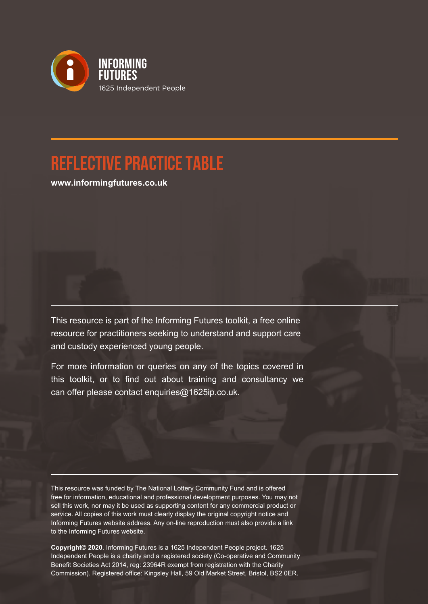

## **Reflective Practice Table**

**www.informingfutures.co.uk**

This resource is part of the Informing Futures toolkit, a free online resource for practitioners seeking to understand and support care and custody experienced young people.

For more information or queries on any of the topics covered in this toolkit, or to find out about training and consultancy we can offer please contact enquiries@1625ip.co.uk.

This resource was funded by The National Lottery Community Fund and is offered free for information, educational and professional development purposes. You may not sell this work, nor may it be used as supporting content for any commercial product or service. All copies of this work must clearly display the original copyright notice and Informing Futures website address. Any on-line reproduction must also provide a link to the Informing Futures website.

**Copyright© 2020**. Informing Futures is a 1625 Independent People project. 1625 Independent People is a charity and a registered society (Co-operative and Community Benefit Societies Act 2014, reg: 23964R exempt from registration with the Charity Commission). Registered office: Kingsley Hall, 59 Old Market Street, Bristol, BS2 0ER.